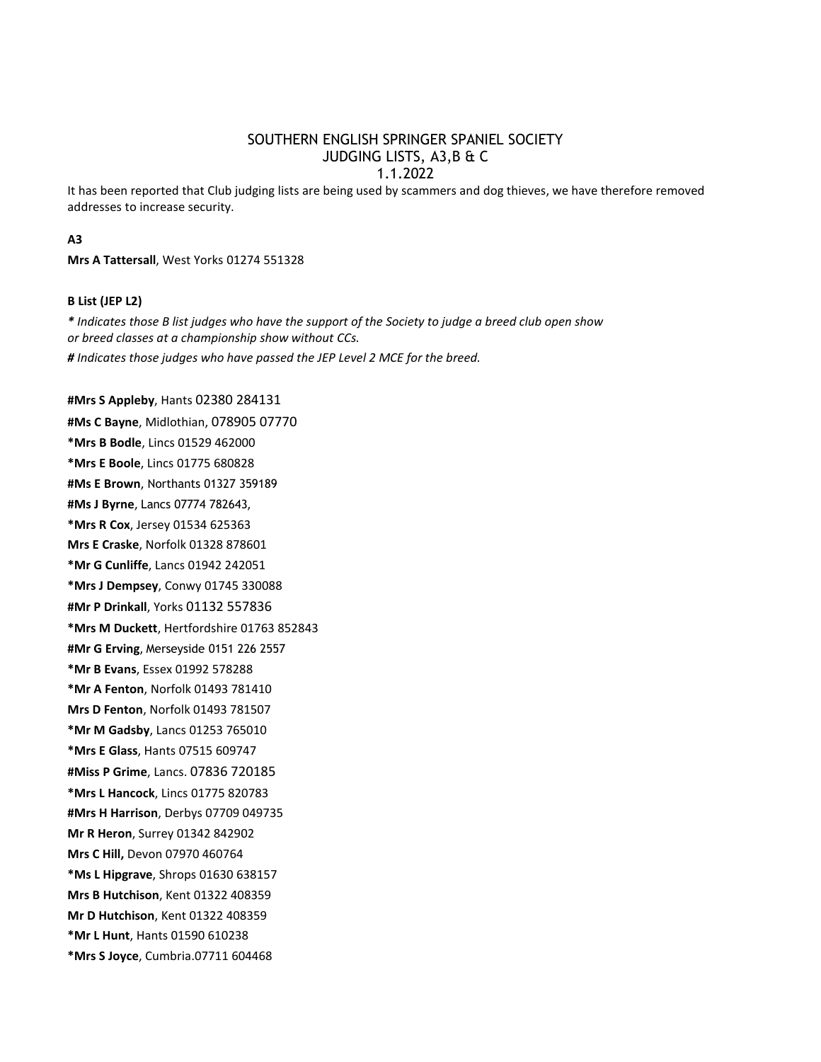# SOUTHERN ENGLISH SPRINGER SPANIEL SOCIETY JUDGING LISTS, A3,B & C 1.1.2022

It has been reported that Club judging lists are being used by scammers and dog thieves, we have therefore removed addresses to increase security.

## **A3**

**Mrs A Tattersall**, West Yorks 01274 551328

## **B List (JEP L2)**

*\* Indicates those B list judges who have the support of the Society to judge a breed club open show or breed classes at a championship show without CCs. # Indicates those judges who have passed the JEP Level 2 MCE for the breed.*

#### **#Mrs S Appleby**, Hants 02380 284131

**#Ms C Bayne**, Midlothian, 078905 07770 **\*Mrs B Bodle**, Lincs 01529 462000 **\*Mrs E Boole**, Lincs 01775 680828 **#Ms E Brown**, Northants 01327 359189 **#Ms J Byrne**, Lancs 07774 782643, **\*Mrs R Cox**, Jersey 01534 625363 **Mrs E Craske**, Norfolk 01328 878601 **\*Mr G Cunliffe**, Lancs 01942 242051 **\*Mrs J Dempsey**, Conwy 01745 330088 **#Mr P Drinkall**, Yorks 01132 557836 **\*Mrs M Duckett**, Hertfordshire 01763 852843 **#Mr G Erving**, Merseyside 0151 226 2557 **\*Mr B Evans**, Essex 01992 578288 **\*Mr A Fenton**, Norfolk 01493 781410 **Mrs D Fenton**, Norfolk 01493 781507 **\*Mr M Gadsby**, Lancs 01253 765010 **\*Mrs E Glass**, Hants 07515 609747 **#Miss P Grime**, Lancs. 07836 720185 **\*Mrs L Hancock**, Lincs 01775 820783 **#Mrs H Harrison**, Derbys 07709 049735 **Mr R Heron**, Surrey 01342 842902 **Mrs C Hill,** Devon 07970 460764 **\*Ms L Hipgrave**, Shrops 01630 638157 **Mrs B Hutchison**, Kent 01322 408359 **Mr D Hutchison**, Kent 01322 408359 **\*Mr L Hunt**, Hants 01590 610238 **\*Mrs S Joyce**, Cumbria.07711 604468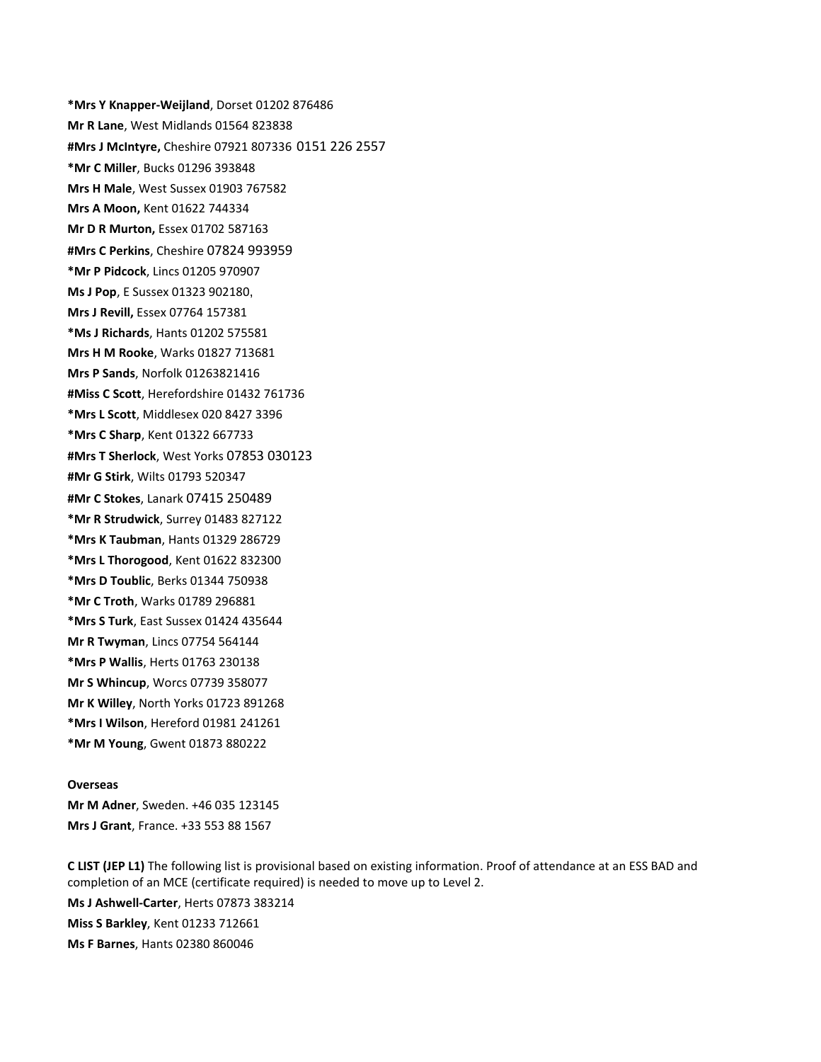**\*Mrs Y Knapper-Weijland**, Dorset 01202 876486 **Mr R Lane**, West Midlands 01564 823838 **#Mrs J McIntyre,** Cheshire 07921 807336 0151 226 2557 **\*Mr C Miller**, Bucks 01296 393848 **Mrs H Male**, West Sussex 01903 767582 **Mrs A Moon,** Kent 01622 744334 **Mr D R Murton,** Essex 01702 587163 **#Mrs C Perkins**, Cheshire 07824 993959 **\*Mr P Pidcock**, Lincs 01205 970907 **Ms J Pop**, E Sussex 01323 902180, **Mrs J Revill,** Essex 07764 157381 **\*Ms J Richards**, Hants 01202 575581 **Mrs H M Rooke**, Warks 01827 713681 **Mrs P Sands**, Norfolk 01263821416 **#Miss C Scott**, Herefordshire 01432 761736 **\*Mrs L Scott**, Middlesex 020 8427 3396 **\*Mrs C Sharp**, Kent 01322 667733 **#Mrs T Sherlock**, West Yorks 07853 030123 **#Mr G Stirk**, Wilts 01793 520347 **#Mr C Stokes**, Lanark 07415 250489 **\*Mr R Strudwick**, Surrey 01483 827122 **\*Mrs K Taubman**, Hants 01329 286729 **\*Mrs L Thorogood**, Kent 01622 832300 **\*Mrs D Toublic**, Berks 01344 750938 **\*Mr C Troth**, Warks 01789 296881 **\*Mrs S Turk**, East Sussex 01424 435644 **Mr R Twyman**, Lincs 07754 564144 **\*Mrs P Wallis**, Herts 01763 230138 **Mr S Whincup**, Worcs 07739 358077 **Mr K Willey**, North Yorks 01723 891268 **\*Mrs I Wilson**, Hereford 01981 241261 **\*Mr M Young**, Gwent 01873 880222

#### **Overseas**

**Mr M Adner**, Sweden. +46 035 123145 **Mrs J Grant**, France. +33 553 88 1567

**C LIST (JEP L1)** The following list is provisional based on existing information. Proof of attendance at an ESS BAD and completion of an MCE (certificate required) is needed to move up to Level 2. **Ms J Ashwell-Carter**, Herts 07873 383214 **Miss S Barkley**, Kent 01233 712661 **Ms F Barnes**, Hants 02380 860046